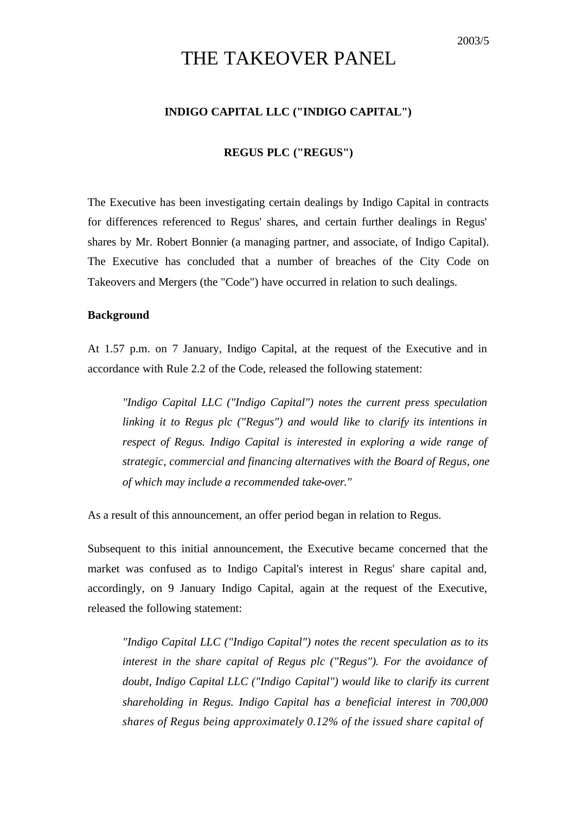# THE TAKEOVER PANEL

## **INDIGO CAPITAL LLC ("INDIGO CAPITAL")**

### **REGUS PLC ("REGUS")**

The Executive has been investigating certain dealings by Indigo Capital in contracts for differences referenced to Regus' shares, and certain further dealings in Regus' shares by Mr. Robert Bonnier (a managing partner, and associate, of Indigo Capital). The Executive has concluded that a number of breaches of the City Code on Takeovers and Mergers (the "Code") have occurred in relation to such dealings.

### **Background**

At 1.57 p.m. on 7 January, Indigo Capital, at the request of the Executive and in accordance with Rule 2.2 of the Code, released the following statement:

*"Indigo Capital LLC ("Indigo Capital") notes the current press speculation linking it to Regus plc ("Regus") and would like to clarify its intentions in respect of Regus. Indigo Capital is interested in exploring a wide range of strategic, commercial and financing alternatives with the Board of Regus, one of which may include a recommended take-over."*

As a result of this announcement, an offer period began in relation to Regus.

Subsequent to this initial announcement, the Executive became concerned that the market was confused as to Indigo Capital's interest in Regus' share capital and, accordingly, on 9 January Indigo Capital, again at the request of the Executive, released the following statement:

*"Indigo Capital LLC ("Indigo Capital") notes the recent speculation as to its interest in the share capital of Regus plc ("Regus"). For the avoidance of doubt, Indigo Capital LLC ("Indigo Capital") would like to clarify its current shareholding in Regus. Indigo Capital has a beneficial interest in 700,000 shares of Regus being approximately 0.12% of the issued share capital of*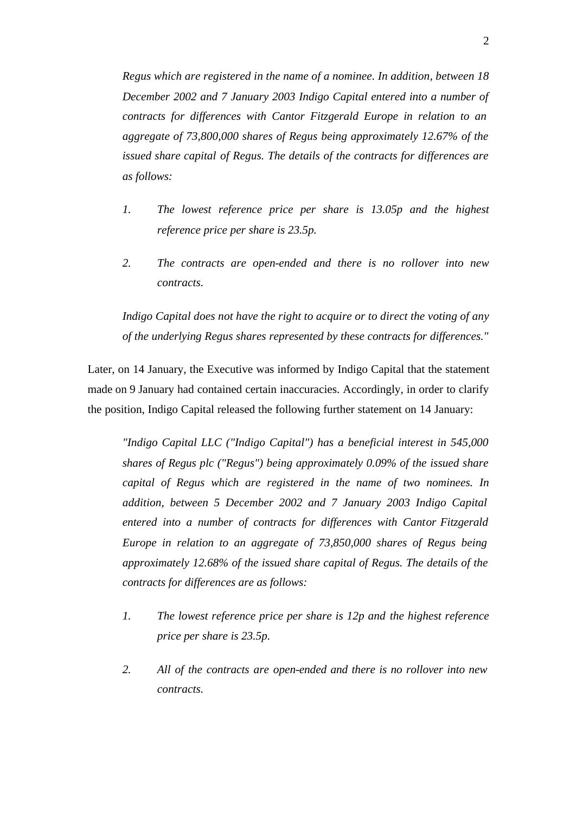*Regus which are registered in the name of a nominee. In addition, between 18 December 2002 and 7 January 2003 Indigo Capital entered into a number of contracts for differences with Cantor Fitzgerald Europe in relation to an aggregate of 73,800,000 shares of Regus being approximately 12.67% of the issued share capital of Regus. The details of the contracts for differences are as follows:*

- *1. The lowest reference price per share is 13.05p and the highest reference price per share is 23.5p.*
- *2. The contracts are open-ended and there is no rollover into new contracts.*

*Indigo Capital does not have the right to acquire or to direct the voting of any of the underlying Regus shares represented by these contracts for differences."*

Later, on 14 January, the Executive was informed by Indigo Capital that the statement made on 9 January had contained certain inaccuracies. Accordingly, in order to clarify the position, Indigo Capital released the following further statement on 14 January:

*"Indigo Capital LLC ("Indigo Capital") has a beneficial interest in 545,000 shares of Regus plc ("Regus") being approximately 0.09% of the issued share capital of Regus which are registered in the name of two nominees. In addition, between 5 December 2002 and 7 January 2003 Indigo Capital entered into a number of contracts for differences with Cantor Fitzgerald Europe in relation to an aggregate of 73,850,000 shares of Regus being approximately 12.68% of the issued share capital of Regus. The details of the contracts for differences are as follows:*

- *1. The lowest reference price per share is 12p and the highest reference price per share is 23.5p.*
- *2. All of the contracts are open-ended and there is no rollover into new contracts.*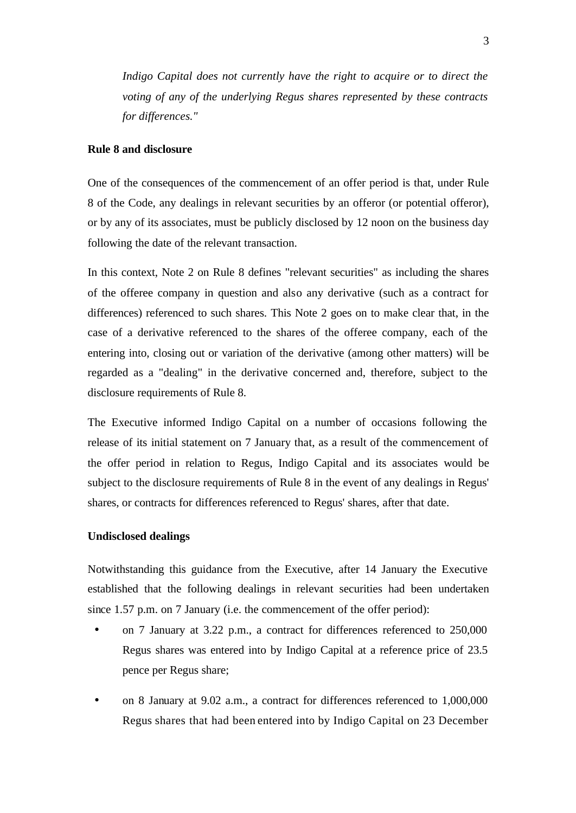*Indigo Capital does not currently have the right to acquire or to direct the voting of any of the underlying Regus shares represented by these contracts for differences."*

### **Rule 8 and disclosure**

One of the consequences of the commencement of an offer period is that, under Rule 8 of the Code, any dealings in relevant securities by an offeror (or potential offeror), or by any of its associates, must be publicly disclosed by 12 noon on the business day following the date of the relevant transaction.

In this context, Note 2 on Rule 8 defines "relevant securities" as including the shares of the offeree company in question and also any derivative (such as a contract for differences) referenced to such shares. This Note 2 goes on to make clear that, in the case of a derivative referenced to the shares of the offeree company, each of the entering into, closing out or variation of the derivative (among other matters) will be regarded as a "dealing" in the derivative concerned and, therefore, subject to the disclosure requirements of Rule 8.

The Executive informed Indigo Capital on a number of occasions following the release of its initial statement on 7 January that, as a result of the commencement of the offer period in relation to Regus, Indigo Capital and its associates would be subject to the disclosure requirements of Rule 8 in the event of any dealings in Regus' shares, or contracts for differences referenced to Regus' shares, after that date.

### **Undisclosed dealings**

Notwithstanding this guidance from the Executive, after 14 January the Executive established that the following dealings in relevant securities had been undertaken since 1.57 p.m. on 7 January (i.e. the commencement of the offer period):

- on 7 January at 3.22 p.m., a contract for differences referenced to 250,000 Regus shares was entered into by Indigo Capital at a reference price of 23.5 pence per Regus share;
- on 8 January at 9.02 a.m., a contract for differences referenced to 1,000,000 Regus shares that had been entered into by Indigo Capital on 23 December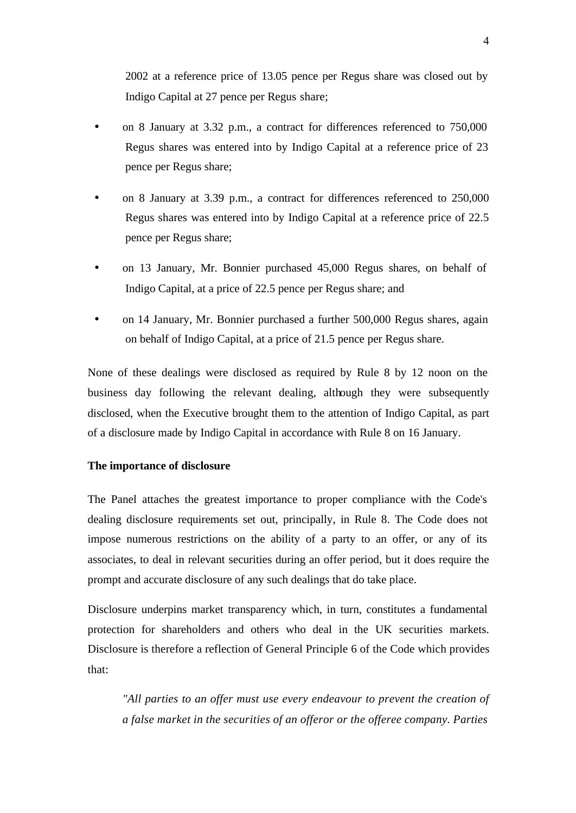2002 at a reference price of 13.05 pence per Regus share was closed out by Indigo Capital at 27 pence per Regus share;

- on 8 January at 3.32 p.m., a contract for differences referenced to 750,000 Regus shares was entered into by Indigo Capital at a reference price of 23 pence per Regus share;
- on 8 January at 3.39 p.m., a contract for differences referenced to 250,000 Regus shares was entered into by Indigo Capital at a reference price of 22.5 pence per Regus share;
- on 13 January, Mr. Bonnier purchased 45,000 Regus shares, on behalf of Indigo Capital, at a price of 22.5 pence per Regus share; and
- on 14 January, Mr. Bonnier purchased a further 500,000 Regus shares, again on behalf of Indigo Capital, at a price of 21.5 pence per Regus share.

None of these dealings were disclosed as required by Rule 8 by 12 noon on the business day following the relevant dealing, although they were subsequently disclosed, when the Executive brought them to the attention of Indigo Capital, as part of a disclosure made by Indigo Capital in accordance with Rule 8 on 16 January.

## **The importance of disclosure**

The Panel attaches the greatest importance to proper compliance with the Code's dealing disclosure requirements set out, principally, in Rule 8. The Code does not impose numerous restrictions on the ability of a party to an offer, or any of its associates, to deal in relevant securities during an offer period, but it does require the prompt and accurate disclosure of any such dealings that do take place.

Disclosure underpins market transparency which, in turn, constitutes a fundamental protection for shareholders and others who deal in the UK securities markets. Disclosure is therefore a reflection of General Principle 6 of the Code which provides that:

*"All parties to an offer must use every endeavour to prevent the creation of a false market in the securities of an offeror or the offeree company. Parties*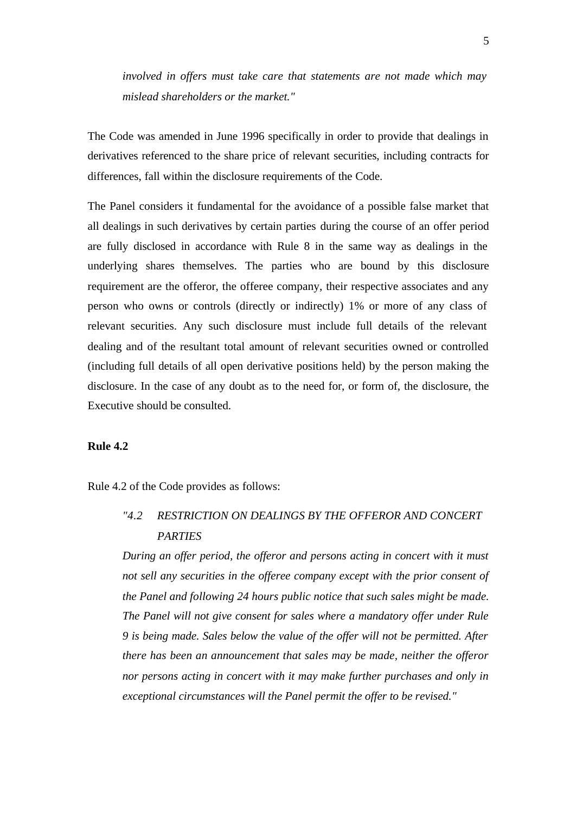*involved in offers must take care that statements are not made which may mislead shareholders or the market."*

The Code was amended in June 1996 specifically in order to provide that dealings in derivatives referenced to the share price of relevant securities, including contracts for differences, fall within the disclosure requirements of the Code.

The Panel considers it fundamental for the avoidance of a possible false market that all dealings in such derivatives by certain parties during the course of an offer period are fully disclosed in accordance with Rule 8 in the same way as dealings in the underlying shares themselves. The parties who are bound by this disclosure requirement are the offeror, the offeree company, their respective associates and any person who owns or controls (directly or indirectly) 1% or more of any class of relevant securities. Any such disclosure must include full details of the relevant dealing and of the resultant total amount of relevant securities owned or controlled (including full details of all open derivative positions held) by the person making the disclosure. In the case of any doubt as to the need for, or form of, the disclosure, the Executive should be consulted.

### **Rule 4.2**

Rule 4.2 of the Code provides as follows:

# *"4.2 RESTRICTION ON DEALINGS BY THE OFFEROR AND CONCERT PARTIES*

*During an offer period, the offeror and persons acting in concert with it must not sell any securities in the offeree company except with the prior consent of the Panel and following 24 hours public notice that such sales might be made. The Panel will not give consent for sales where a mandatory offer under Rule 9 is being made. Sales below the value of the offer will not be permitted. After there has been an announcement that sales may be made, neither the offeror nor persons acting in concert with it may make further purchases and only in exceptional circumstances will the Panel permit the offer to be revised."*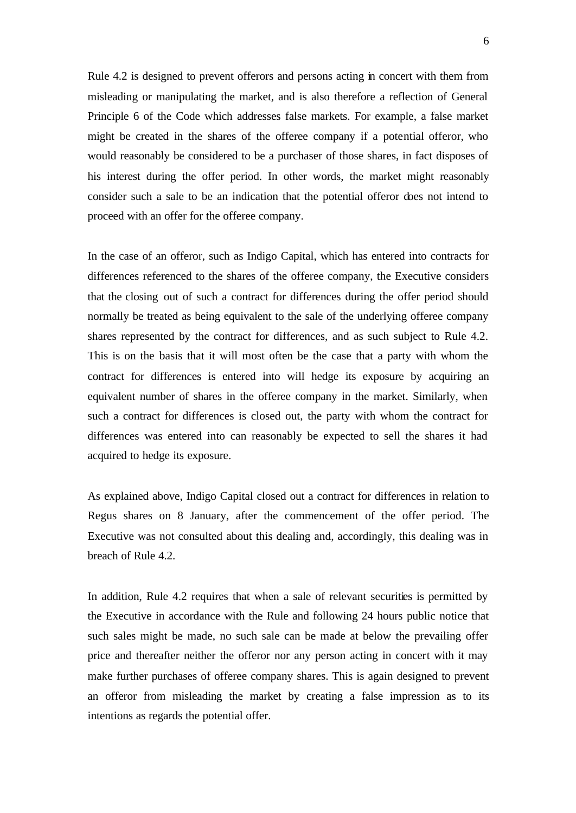Rule 4.2 is designed to prevent offerors and persons acting in concert with them from misleading or manipulating the market, and is also therefore a reflection of General Principle 6 of the Code which addresses false markets. For example, a false market might be created in the shares of the offeree company if a potential offeror, who would reasonably be considered to be a purchaser of those shares, in fact disposes of his interest during the offer period. In other words, the market might reasonably consider such a sale to be an indication that the potential offeror does not intend to proceed with an offer for the offeree company.

In the case of an offeror, such as Indigo Capital, which has entered into contracts for differences referenced to the shares of the offeree company, the Executive considers that the closing out of such a contract for differences during the offer period should normally be treated as being equivalent to the sale of the underlying offeree company shares represented by the contract for differences, and as such subject to Rule 4.2. This is on the basis that it will most often be the case that a party with whom the contract for differences is entered into will hedge its exposure by acquiring an equivalent number of shares in the offeree company in the market. Similarly, when such a contract for differences is closed out, the party with whom the contract for differences was entered into can reasonably be expected to sell the shares it had acquired to hedge its exposure.

As explained above, Indigo Capital closed out a contract for differences in relation to Regus shares on 8 January, after the commencement of the offer period. The Executive was not consulted about this dealing and, accordingly, this dealing was in breach of Rule 4.2.

In addition, Rule 4.2 requires that when a sale of relevant securities is permitted by the Executive in accordance with the Rule and following 24 hours public notice that such sales might be made, no such sale can be made at below the prevailing offer price and thereafter neither the offeror nor any person acting in concert with it may make further purchases of offeree company shares. This is again designed to prevent an offeror from misleading the market by creating a false impression as to its intentions as regards the potential offer.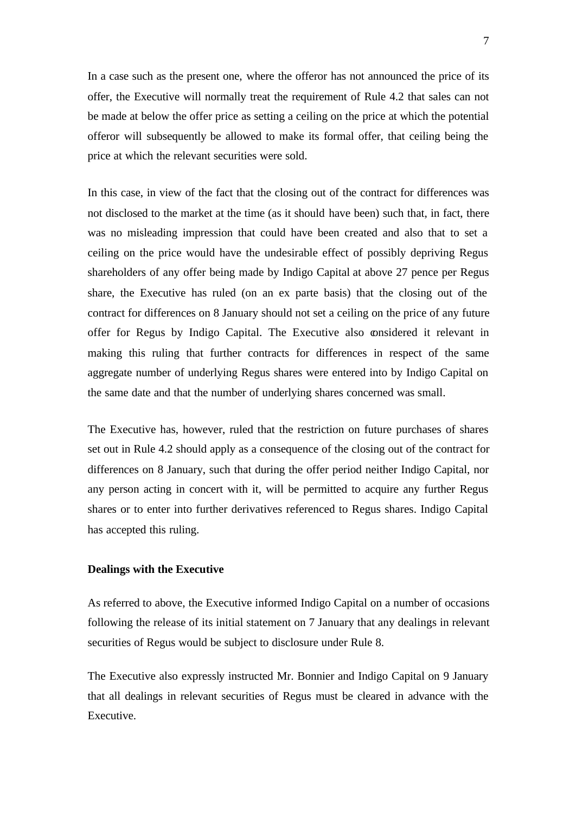In a case such as the present one, where the offeror has not announced the price of its offer, the Executive will normally treat the requirement of Rule 4.2 that sales can not be made at below the offer price as setting a ceiling on the price at which the potential offeror will subsequently be allowed to make its formal offer, that ceiling being the price at which the relevant securities were sold.

In this case, in view of the fact that the closing out of the contract for differences was not disclosed to the market at the time (as it should have been) such that, in fact, there was no misleading impression that could have been created and also that to set a ceiling on the price would have the undesirable effect of possibly depriving Regus shareholders of any offer being made by Indigo Capital at above 27 pence per Regus share, the Executive has ruled (on an ex parte basis) that the closing out of the contract for differences on 8 January should not set a ceiling on the price of any future offer for Regus by Indigo Capital. The Executive also considered it relevant in making this ruling that further contracts for differences in respect of the same aggregate number of underlying Regus shares were entered into by Indigo Capital on the same date and that the number of underlying shares concerned was small.

The Executive has, however, ruled that the restriction on future purchases of shares set out in Rule 4.2 should apply as a consequence of the closing out of the contract for differences on 8 January, such that during the offer period neither Indigo Capital, nor any person acting in concert with it, will be permitted to acquire any further Regus shares or to enter into further derivatives referenced to Regus shares. Indigo Capital has accepted this ruling.

### **Dealings with the Executive**

As referred to above, the Executive informed Indigo Capital on a number of occasions following the release of its initial statement on 7 January that any dealings in relevant securities of Regus would be subject to disclosure under Rule 8.

The Executive also expressly instructed Mr. Bonnier and Indigo Capital on 9 January that all dealings in relevant securities of Regus must be cleared in advance with the Executive.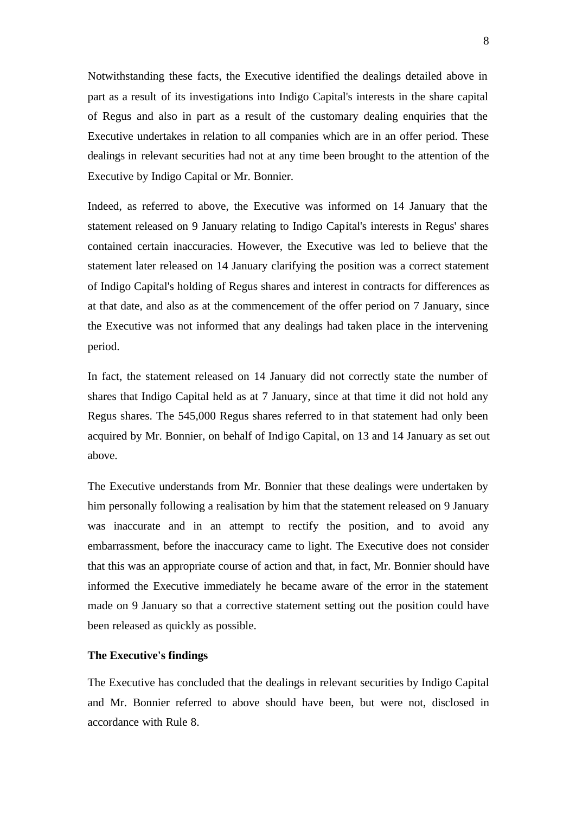Notwithstanding these facts, the Executive identified the dealings detailed above in part as a result of its investigations into Indigo Capital's interests in the share capital of Regus and also in part as a result of the customary dealing enquiries that the Executive undertakes in relation to all companies which are in an offer period. These dealings in relevant securities had not at any time been brought to the attention of the Executive by Indigo Capital or Mr. Bonnier.

Indeed, as referred to above, the Executive was informed on 14 January that the statement released on 9 January relating to Indigo Capital's interests in Regus' shares contained certain inaccuracies. However, the Executive was led to believe that the statement later released on 14 January clarifying the position was a correct statement of Indigo Capital's holding of Regus shares and interest in contracts for differences as at that date, and also as at the commencement of the offer period on 7 January, since the Executive was not informed that any dealings had taken place in the intervening period.

In fact, the statement released on 14 January did not correctly state the number of shares that Indigo Capital held as at 7 January, since at that time it did not hold any Regus shares. The 545,000 Regus shares referred to in that statement had only been acquired by Mr. Bonnier, on behalf of Indigo Capital, on 13 and 14 January as set out above.

The Executive understands from Mr. Bonnier that these dealings were undertaken by him personally following a realisation by him that the statement released on 9 January was inaccurate and in an attempt to rectify the position, and to avoid any embarrassment, before the inaccuracy came to light. The Executive does not consider that this was an appropriate course of action and that, in fact, Mr. Bonnier should have informed the Executive immediately he became aware of the error in the statement made on 9 January so that a corrective statement setting out the position could have been released as quickly as possible.

#### **The Executive's findings**

The Executive has concluded that the dealings in relevant securities by Indigo Capital and Mr. Bonnier referred to above should have been, but were not, disclosed in accordance with Rule 8.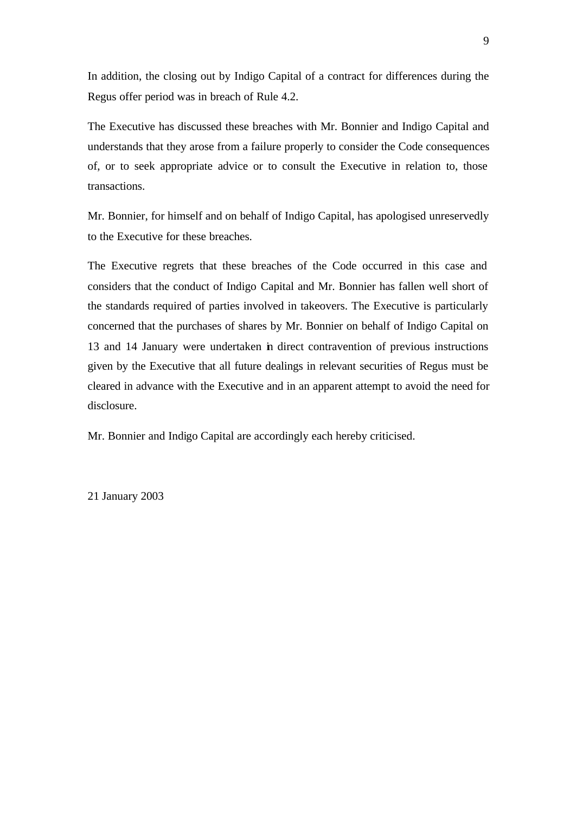In addition, the closing out by Indigo Capital of a contract for differences during the Regus offer period was in breach of Rule 4.2.

The Executive has discussed these breaches with Mr. Bonnier and Indigo Capital and understands that they arose from a failure properly to consider the Code consequences of, or to seek appropriate advice or to consult the Executive in relation to, those transactions.

Mr. Bonnier, for himself and on behalf of Indigo Capital, has apologised unreservedly to the Executive for these breaches.

The Executive regrets that these breaches of the Code occurred in this case and considers that the conduct of Indigo Capital and Mr. Bonnier has fallen well short of the standards required of parties involved in takeovers. The Executive is particularly concerned that the purchases of shares by Mr. Bonnier on behalf of Indigo Capital on 13 and 14 January were undertaken in direct contravention of previous instructions given by the Executive that all future dealings in relevant securities of Regus must be cleared in advance with the Executive and in an apparent attempt to avoid the need for disclosure.

Mr. Bonnier and Indigo Capital are accordingly each hereby criticised.

21 January 2003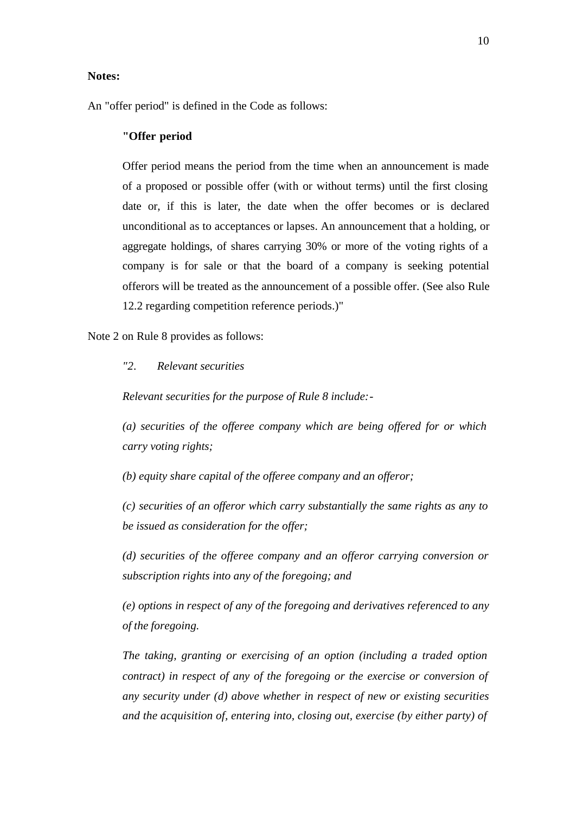### **Notes:**

An "offer period" is defined in the Code as follows:

### **"Offer period**

Offer period means the period from the time when an announcement is made of a proposed or possible offer (with or without terms) until the first closing date or, if this is later, the date when the offer becomes or is declared unconditional as to acceptances or lapses. An announcement that a holding, or aggregate holdings, of shares carrying 30% or more of the voting rights of a company is for sale or that the board of a company is seeking potential offerors will be treated as the announcement of a possible offer. (See also Rule 12.2 regarding competition reference periods.)"

Note 2 on Rule 8 provides as follows:

### *"2. Relevant securities*

*Relevant securities for the purpose of Rule 8 include:-*

*(a) securities of the offeree company which are being offered for or which carry voting rights;*

*(b) equity share capital of the offeree company and an offeror;*

*(c) securities of an offeror which carry substantially the same rights as any to be issued as consideration for the offer;*

*(d) securities of the offeree company and an offeror carrying conversion or subscription rights into any of the foregoing; and*

*(e) options in respect of any of the foregoing and derivatives referenced to any of the foregoing.*

*The taking, granting or exercising of an option (including a traded option contract) in respect of any of the foregoing or the exercise or conversion of any security under (d) above whether in respect of new or existing securities and the acquisition of, entering into, closing out, exercise (by either party) of*